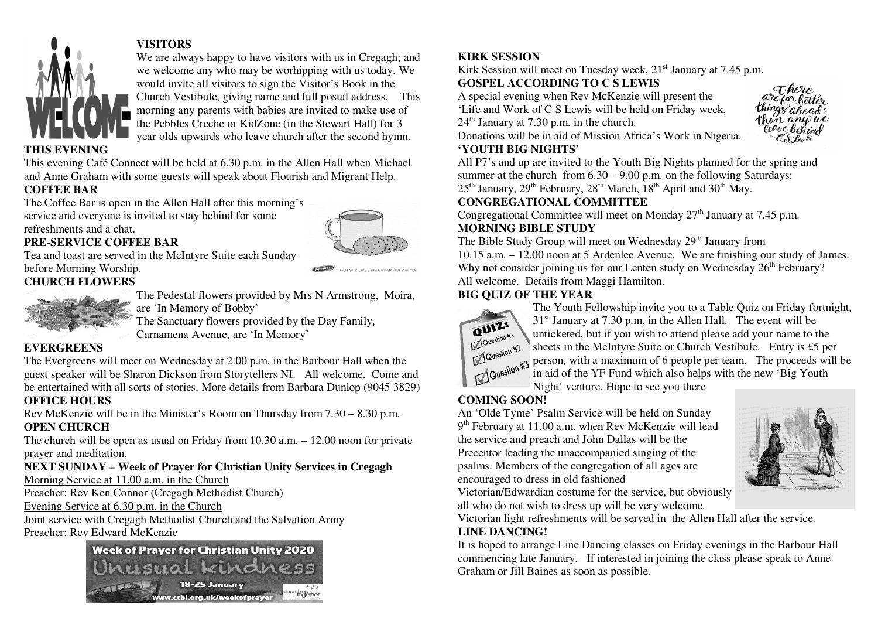

# **VISITORS**

 We are always happy to have visitors with us in Cregagh; and we welcome any who may be worhipping with us today. We would invite all visitors to sign the Visitor's Book in the Church Vestibule, giving name and full postal address. This morning any parents with babies are invited to make use of the Pebbles Creche or KidZone (in the Stewart Hall) for 3 year olds upwards who leave church after the second hymn.

#### **THIS EVENING**

 This evening Café Connect will be held at 6.30 p.m. in the Allen Hall when Michael and Anne Graham with some guests will speak about Flourish and Migrant Help.

## **COFFEE BAR**

 The Coffee Bar is open in the Allen Hall after this morning's service and everyone is invited to stay behind for some refreshments and a chat.

#### **PRE-SERVICE COFFEE BAR**

 Tea and toast are served in the McIntyre Suite each Sunday before Morning Worship. **CHURCH FLOWERS** 



 The Pedestal flowers provided by Mrs N Armstrong, Moira, are 'In Memory of Bobby'

The Sanctuary flowers provided by the Day Family,

Carnamena Avenue, are 'In Memory'

## **EVERGREENS**

 The Evergreens will meet on Wednesday at 2.00 p.m. in the Barbour Hall when the guest speaker will be Sharon Dickson from Storytellers NI. All welcome. Come and be entertained with all sorts of stories. More details from Barbara Dunlop (9045 3829)

## **OFFICE HOURS**

 Rev McKenzie will be in the Minister's Room on Thursday from 7.30 – 8.30 p.m. **OPEN CHURCH** 

 The church will be open as usual on Friday from 10.30 a.m. – 12.00 noon for private prayer and meditation.

#### **NEXT SUNDAY – Week of Prayer for Christian Unity Services in Cregagh** Morning Service at 11.00 a.m. in the Church

Preacher: Rev Ken Connor (Cregagh Methodist Church)

Evening Service at 6.30 p.m. in the Church

 Joint service with Cregagh Methodist Church and the Salvation Army Preacher: Rev Edward McKenzie



# **KIRK SESSION**

Kirk Session will meet on Tuesday week, 21<sup>st</sup> January at 7.45 p.m.

# **GOSPEL ACCORDING TO C S LEWIS**

 A special evening when Rev McKenzie will present the 'Life and Work of C S Lewis will be held on Friday week,

 $24<sup>th</sup>$  January at 7.30 p.m. in the church.

Donations will be in aid of Mission Africa's Work in Nigeria.



# **'YOUTH BIG NIGHTS'**

 All P7's and up are invited to the Youth Big Nights planned for the spring and summer at the church from  $6.30 - 9.00$  p.m. on the following Saturdays:  $25<sup>th</sup>$  January,  $29<sup>th</sup>$  February,  $28<sup>th</sup>$  March,  $18<sup>th</sup>$  April and  $30<sup>th</sup>$  May.

# **CONGREGATIONAL COMMITTEE**

Congregational Committee will meet on Monday  $27<sup>th</sup>$  January at 7.45 p.m. **MORNING BIBLE STUDY** 

The Bible Study Group will meet on Wednesday 29<sup>th</sup> January from 10.15 a.m. – 12.00 noon at 5 Ardenlee Avenue. We are finishing our study of James. Why not consider joining us for our Lenten study on Wednesday 26<sup>th</sup> February? All welcome. Details from Maggi Hamilton.

# **BIG QUIZ OF THE YEAR**



 The Youth Fellowship invite you to a Table Quiz on Friday fortnight,  $31<sup>st</sup>$  January at 7.30 p.m. in the Allen Hall. The event will be unticketed, but if you wish to attend please add your name to the sheets in the McIntyre Suite or Church Vestibule. Entry is £5 per person, with a maximum of 6 people per team. The proceeds will be in aid of the YF Fund which also helps with the new 'Big Youth

Night' venture. Hope to see you there

# **COMING SOON!**

 An 'Olde Tyme' Psalm Service will be held on Sunday $9<sup>th</sup>$  February at 11.00 a.m. when Rev McKenzie will lead the service and preach and John Dallas will be the Precentor leading the unaccompanied singing of the psalms. Members of the congregation of all ages areencouraged to dress in old fashioned



 Victorian/Edwardian costume for the service, but obviouslyall who do not wish to dress up will be very welcome.

Victorian light refreshments will be served in the Allen Hall after the service.

## **LINE DANCING!**

 It is hoped to arrange Line Dancing classes on Friday evenings in the Barbour Hall commencing late January. If interested in joining the class please speak to Anne Graham or Jill Baines as soon as possible.